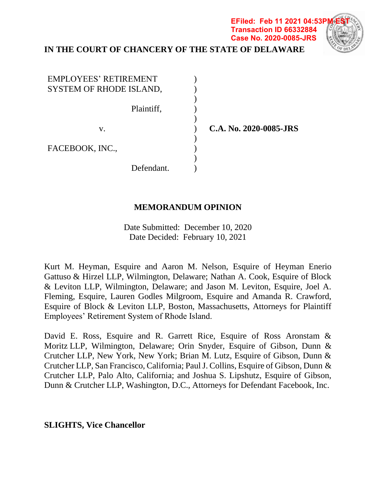# **IN THE COURT OF CHANCERY OF THE STATE OF DELAWARE**

) ) ) ) ) ) ) ) ) )

| <b>EMPLOYEES' RETIREMENT</b><br>SYSTEM OF RHODE ISLAND, |  |
|---------------------------------------------------------|--|
| Plaintiff,                                              |  |
| V.                                                      |  |
| FACEBOOK, INC.,                                         |  |
| Defendant.                                              |  |

 **C.A. No. 2020-0085-JRS**

**Transaction ID 66332884 Case No. 2020-0085-JRS**

### **MEMORANDUM OPINION**

Date Submitted: December 10, 2020 Date Decided: February 10, 2021

Kurt M. Heyman, Esquire and Aaron M. Nelson, Esquire of Heyman Enerio Gattuso & Hirzel LLP, Wilmington, Delaware; Nathan A. Cook, Esquire of Block & Leviton LLP, Wilmington, Delaware; and Jason M. Leviton, Esquire, Joel A. Fleming, Esquire, Lauren Godles Milgroom, Esquire and Amanda R. Crawford, Esquire of Block & Leviton LLP, Boston, Massachusetts, Attorneys for Plaintiff Employees' Retirement System of Rhode Island.

David E. Ross, Esquire and R. Garrett Rice, Esquire of Ross Aronstam & Moritz LLP, Wilmington, Delaware; Orin Snyder, Esquire of Gibson, Dunn & Crutcher LLP, New York, New York; Brian M. Lutz, Esquire of Gibson, Dunn & Crutcher LLP, San Francisco, California; Paul J. Collins, Esquire of Gibson, Dunn & Crutcher LLP, Palo Alto, California; and Joshua S. Lipshutz, Esquire of Gibson, Dunn & Crutcher LLP, Washington, D.C., Attorneys for Defendant Facebook, Inc.

### **SLIGHTS, Vice Chancellor**

**EFiled: Feb 11 2021 04:53P**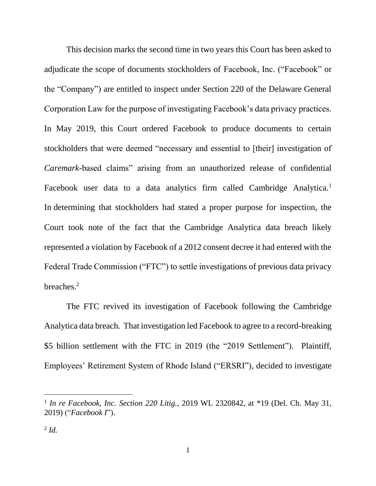This decision marks the second time in two years this Court has been asked to adjudicate the scope of documents stockholders of Facebook, Inc. ("Facebook" or the "Company") are entitled to inspect under Section 220 of the Delaware General Corporation Law for the purpose of investigating Facebook's data privacy practices. In May 2019, this Court ordered Facebook to produce documents to certain stockholders that were deemed "necessary and essential to [their] investigation of *Caremark*-based claims" arising from an unauthorized release of confidential Facebook user data to a data analytics firm called Cambridge Analytica.<sup>1</sup> In determining that stockholders had stated a proper purpose for inspection, the Court took note of the fact that the Cambridge Analytica data breach likely represented a violation by Facebook of a 2012 consent decree it had entered with the Federal Trade Commission ("FTC") to settle investigations of previous data privacy breaches. 2

The FTC revived its investigation of Facebook following the Cambridge Analytica data breach. That investigation led Facebook to agree to a record-breaking \$5 billion settlement with the FTC in 2019 (the "2019 Settlement"). Plaintiff, Employees' Retirement System of Rhode Island ("ERSRI"), decided to investigate

<sup>&</sup>lt;sup>1</sup> In re Facebook, Inc. Section 220 Litig., 2019 WL 2320842, at \*19 (Del. Ch. May 31, 2019) ("*Facebook I*").

<sup>2</sup> *Id.*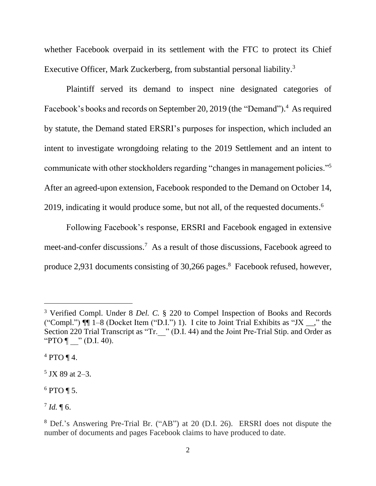whether Facebook overpaid in its settlement with the FTC to protect its Chief Executive Officer, Mark Zuckerberg, from substantial personal liability.<sup>3</sup>

Plaintiff served its demand to inspect nine designated categories of Facebook's books and records on September 20, 2019 (the "Demand").<sup>4</sup> As required by statute, the Demand stated ERSRI's purposes for inspection, which included an intent to investigate wrongdoing relating to the 2019 Settlement and an intent to communicate with other stockholders regarding "changes in management policies."<sup>5</sup> After an agreed-upon extension, Facebook responded to the Demand on October 14, 2019, indicating it would produce some, but not all, of the requested documents.<sup>6</sup>

Following Facebook's response, ERSRI and Facebook engaged in extensive meet-and-confer discussions.<sup>7</sup> As a result of those discussions, Facebook agreed to produce 2,931 documents consisting of 30,266 pages. 8 Facebook refused, however,

<sup>3</sup> Verified Compl. Under 8 *Del. C.* § 220 to Compel Inspection of Books and Records ("Compl.")  $\P$   $\left[1-8$  (Docket Item ("D.I.") 1). I cite to Joint Trial Exhibits as "JX  $\right]$ ," the Section 220 Trial Transcript as "Tr. " (D.I. 44) and the Joint Pre-Trial Stip. and Order as "PTO  $\P$  " (D.I. 40).

 $4 PTO \, \P \, 4.$ 

<sup>5</sup> JX 89 at 2–3.

 $6$  PTO ¶ 5.

 $^{7}$  *Id.*  $\P$  6.

<sup>8</sup> Def.'s Answering Pre-Trial Br. ("AB") at 20 (D.I. 26). ERSRI does not dispute the number of documents and pages Facebook claims to have produced to date.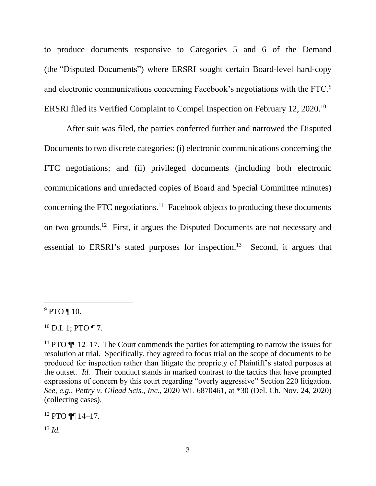to produce documents responsive to Categories 5 and 6 of the Demand (the "Disputed Documents") where ERSRI sought certain Board-level hard-copy and electronic communications concerning Facebook's negotiations with the FTC.<sup>9</sup> ERSRI filed its Verified Complaint to Compel Inspection on February 12, 2020.<sup>10</sup>

After suit was filed, the parties conferred further and narrowed the Disputed Documents to two discrete categories: (i) electronic communications concerning the FTC negotiations; and (ii) privileged documents (including both electronic communications and unredacted copies of Board and Special Committee minutes) concerning the FTC negotiations.<sup>11</sup> Facebook objects to producing these documents on two grounds.<sup>12</sup> First, it argues the Disputed Documents are not necessary and essential to ERSRI's stated purposes for inspection.<sup>13</sup> Second, it argues that

 $12$  PTO  $\P\P$  14-17.

<sup>13</sup> *Id.*

<sup>&</sup>lt;sup>9</sup> PTO ¶ 10.

 $10$  D.I. 1; PTO ¶ 7.

<sup>&</sup>lt;sup>11</sup> PTO  $\P\P$  12–17. The Court commends the parties for attempting to narrow the issues for resolution at trial. Specifically, they agreed to focus trial on the scope of documents to be produced for inspection rather than litigate the propriety of Plaintiff's stated purposes at the outset. *Id.* Their conduct stands in marked contrast to the tactics that have prompted expressions of concern by this court regarding "overly aggressive" Section 220 litigation. *See, e.g.*, *Pettry v. Gilead Scis., Inc.*, 2020 WL 6870461, at \*30 (Del. Ch. Nov. 24, 2020) (collecting cases).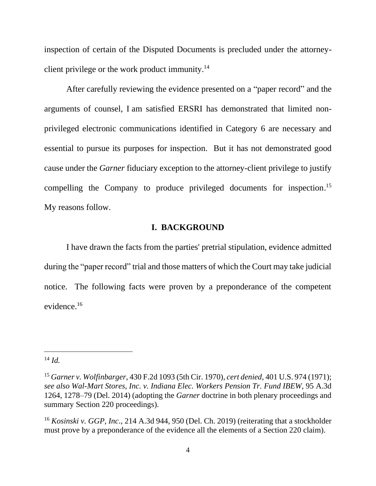inspection of certain of the Disputed Documents is precluded under the attorneyclient privilege or the work product immunity. 14

After carefully reviewing the evidence presented on a "paper record" and the arguments of counsel, I am satisfied ERSRI has demonstrated that limited nonprivileged electronic communications identified in Category 6 are necessary and essential to pursue its purposes for inspection. But it has not demonstrated good cause under the *Garner* fiduciary exception to the attorney-client privilege to justify compelling the Company to produce privileged documents for inspection. 15 My reasons follow.

### **I. BACKGROUND**

I have drawn the facts from the parties' pretrial stipulation, evidence admitted during the "paper record" trial and those matters of which the Court may take judicial notice. The following facts were proven by a preponderance of the competent evidence.<sup>16</sup>

<sup>14</sup> *Id.*

<sup>15</sup> *Garner v. Wolfinbarger*, 430 F.2d 1093 (5th Cir. 1970), *cert denied*, 401 U.S. 974 (1971); *see also Wal-Mart Stores, Inc. v. Indiana Elec. Workers Pension Tr. Fund IBEW*, 95 A.3d 1264, 1278–79 (Del. 2014) (adopting the *Garner* doctrine in both plenary proceedings and summary Section 220 proceedings).

<sup>16</sup> *Kosinski v. GGP, Inc*., 214 A.3d 944, 950 (Del. Ch. 2019) (reiterating that a stockholder must prove by a preponderance of the evidence all the elements of a Section 220 claim).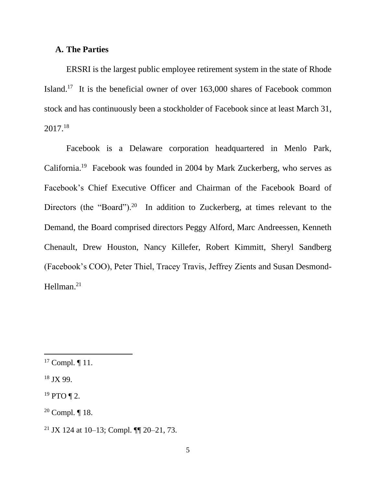#### **A. The Parties**

ERSRI is the largest public employee retirement system in the state of Rhode Island.<sup>17</sup> It is the beneficial owner of over 163,000 shares of Facebook common stock and has continuously been a stockholder of Facebook since at least March 31, 2017. 18

Facebook is a Delaware corporation headquartered in Menlo Park, California.<sup>19</sup> Facebook was founded in 2004 by Mark Zuckerberg, who serves as Facebook's Chief Executive Officer and Chairman of the Facebook Board of Directors (the "Board").<sup>20</sup> In addition to Zuckerberg, at times relevant to the Demand, the Board comprised directors Peggy Alford, Marc Andreessen, Kenneth Chenault, Drew Houston, Nancy Killefer, Robert Kimmitt, Sheryl Sandberg (Facebook's COO), Peter Thiel, Tracey Travis, Jeffrey Zients and Susan Desmond-Hellman. 21

<sup>&</sup>lt;sup>17</sup> Compl.  $\P$  11.

<sup>18</sup> JX 99.

 $19$  PTO ¶ 2.

 $20$  Compl.  $\P$  18.

<sup>&</sup>lt;sup>21</sup> JX 124 at 10–13; Compl.  $\P$ [20–21, 73.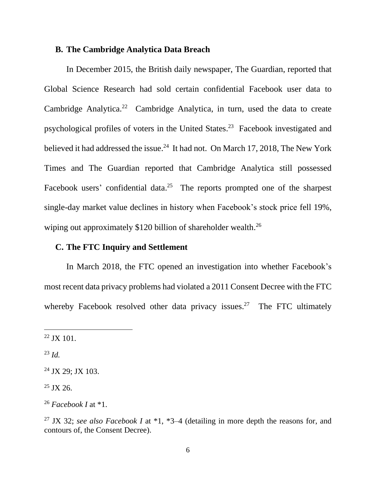### **B. The Cambridge Analytica Data Breach**

In December 2015, the British daily newspaper, The Guardian, reported that Global Science Research had sold certain confidential Facebook user data to Cambridge Analytica.<sup>22</sup> Cambridge Analytica, in turn, used the data to create psychological profiles of voters in the United States. 23 Facebook investigated and believed it had addressed the issue.<sup>24</sup> It had not. On March 17, 2018, The New York Times and The Guardian reported that Cambridge Analytica still possessed Facebook users' confidential data.<sup>25</sup> The reports prompted one of the sharpest single-day market value declines in history when Facebook's stock price fell 19%, wiping out approximately \$120 billion of shareholder wealth.<sup>26</sup>

### **C. The FTC Inquiry and Settlement**

In March 2018, the FTC opened an investigation into whether Facebook's most recent data privacy problems had violated a 2011 Consent Decree with the FTC whereby Facebook resolved other data privacy issues.<sup>27</sup> The FTC ultimately

<sup>23</sup> *Id.*

 $22$  JX 101.

 $24$  JX 29; JX 103.

 $25$  JX 26.

<sup>26</sup> *Facebook I* at \*1.

<sup>27</sup> JX 32; *see also Facebook I* at \*1, \*3–4 (detailing in more depth the reasons for, and contours of, the Consent Decree).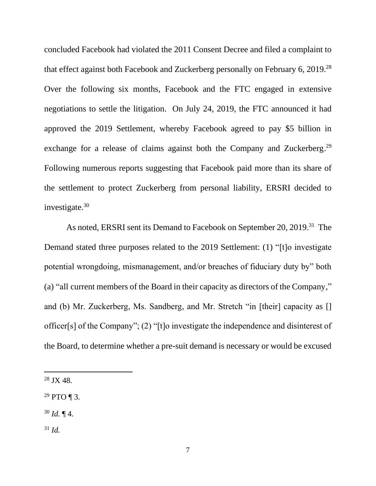concluded Facebook had violated the 2011 Consent Decree and filed a complaint to that effect against both Facebook and Zuckerberg personally on February 6,  $2019.^{28}$ Over the following six months, Facebook and the FTC engaged in extensive negotiations to settle the litigation. On July 24, 2019, the FTC announced it had approved the 2019 Settlement, whereby Facebook agreed to pay \$5 billion in exchange for a release of claims against both the Company and Zuckerberg.<sup>29</sup> Following numerous reports suggesting that Facebook paid more than its share of the settlement to protect Zuckerberg from personal liability, ERSRI decided to investigate.<sup>30</sup>

As noted, ERSRI sent its Demand to Facebook on September 20, 2019.<sup>31</sup> The Demand stated three purposes related to the 2019 Settlement: (1) "[t]o investigate potential wrongdoing, mismanagement, and/or breaches of fiduciary duty by" both (a) "all current members of the Board in their capacity as directors of the Company," and (b) Mr. Zuckerberg, Ms. Sandberg, and Mr. Stretch "in [their] capacity as [] officer[s] of the Company"; (2) "[t]o investigate the independence and disinterest of the Board, to determine whether a pre-suit demand is necessary or would be excused

 $28$  JX 48.

 $29$  PTO ¶ 3.

<sup>30</sup> *Id.* ¶ 4.

<sup>31</sup> *Id.*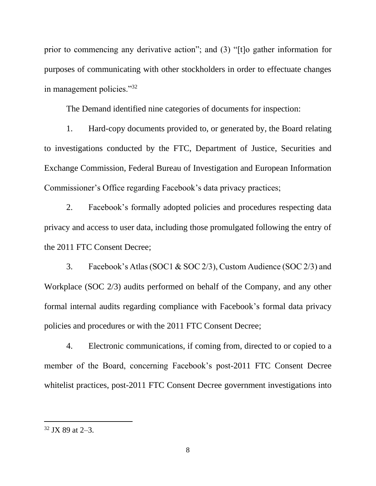prior to commencing any derivative action"; and (3) "[t]o gather information for purposes of communicating with other stockholders in order to effectuate changes in management policies."<sup>32</sup>

The Demand identified nine categories of documents for inspection:

1. Hard-copy documents provided to, or generated by, the Board relating to investigations conducted by the FTC, Department of Justice, Securities and Exchange Commission, Federal Bureau of Investigation and European Information Commissioner's Office regarding Facebook's data privacy practices;

2. Facebook's formally adopted policies and procedures respecting data privacy and access to user data, including those promulgated following the entry of the 2011 FTC Consent Decree;

3. Facebook's Atlas (SOC1 & SOC 2/3), Custom Audience (SOC 2/3) and Workplace (SOC 2/3) audits performed on behalf of the Company, and any other formal internal audits regarding compliance with Facebook's formal data privacy policies and procedures or with the 2011 FTC Consent Decree;

4. Electronic communications, if coming from, directed to or copied to a member of the Board, concerning Facebook's post-2011 FTC Consent Decree whitelist practices, post-2011 FTC Consent Decree government investigations into

 $32$  JX 89 at  $2-3$ .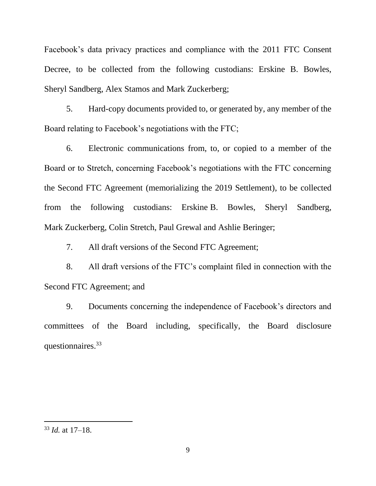Facebook's data privacy practices and compliance with the 2011 FTC Consent Decree, to be collected from the following custodians: Erskine B. Bowles, Sheryl Sandberg, Alex Stamos and Mark Zuckerberg;

5. Hard-copy documents provided to, or generated by, any member of the Board relating to Facebook's negotiations with the FTC;

6. Electronic communications from, to, or copied to a member of the Board or to Stretch, concerning Facebook's negotiations with the FTC concerning the Second FTC Agreement (memorializing the 2019 Settlement), to be collected from the following custodians: Erskine B. Bowles, Sheryl Sandberg, Mark Zuckerberg, Colin Stretch, Paul Grewal and Ashlie Beringer;

7. All draft versions of the Second FTC Agreement;

8. All draft versions of the FTC's complaint filed in connection with the Second FTC Agreement; and

9. Documents concerning the independence of Facebook's directors and committees of the Board including, specifically, the Board disclosure questionnaires.<sup>33</sup>

<sup>33</sup> *Id.* at 17–18.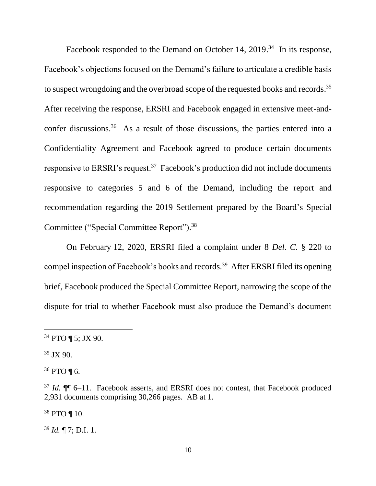Facebook responded to the Demand on October 14, 2019.<sup>34</sup> In its response, Facebook's objections focused on the Demand's failure to articulate a credible basis to suspect wrongdoing and the overbroad scope of the requested books and records.<sup>35</sup> After receiving the response, ERSRI and Facebook engaged in extensive meet-andconfer discussions.<sup>36</sup> As a result of those discussions, the parties entered into a Confidentiality Agreement and Facebook agreed to produce certain documents responsive to ERSRI's request.<sup>37</sup> Facebook's production did not include documents responsive to categories 5 and 6 of the Demand, including the report and recommendation regarding the 2019 Settlement prepared by the Board's Special Committee ("Special Committee Report").<sup>38</sup>

On February 12, 2020, ERSRI filed a complaint under 8 *Del. C.* § 220 to compel inspection of Facebook's books and records.<sup>39</sup> After ERSRI filed its opening brief, Facebook produced the Special Committee Report, narrowing the scope of the dispute for trial to whether Facebook must also produce the Demand's document

 $36$  PTO ¶ 6.

<sup>38</sup> PTO ¶ 10.

<sup>39</sup> *Id.* ¶ 7; D.I. 1.

<sup>34</sup> PTO ¶ 5; JX 90.

 $35$  JX 90.

<sup>37</sup> *Id.* ¶¶ 6–11. Facebook asserts, and ERSRI does not contest, that Facebook produced 2,931 documents comprising 30,266 pages. AB at 1.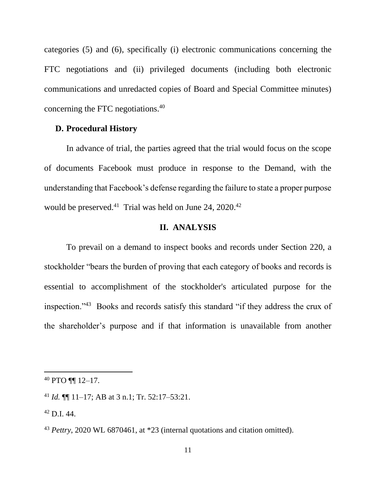categories (5) and (6), specifically (i) electronic communications concerning the FTC negotiations and (ii) privileged documents (including both electronic communications and unredacted copies of Board and Special Committee minutes) concerning the FTC negotiations.<sup>40</sup>

### **D. Procedural History**

In advance of trial, the parties agreed that the trial would focus on the scope of documents Facebook must produce in response to the Demand, with the understanding that Facebook's defense regarding the failure to state a proper purpose would be preserved. $41$  Trial was held on June 24, 2020. $42$ 

### **II. ANALYSIS**

To prevail on a demand to inspect books and records under Section 220, a stockholder "bears the burden of proving that each category of books and records is essential to accomplishment of the stockholder's articulated purpose for the inspection."<sup>43</sup> Books and records satisfy this standard "if they address the crux of the shareholder's purpose and if that information is unavailable from another

<sup>40</sup> PTO ¶¶ 12–17.

<sup>41</sup> *Id.* ¶¶ 11–17; AB at 3 n.1; Tr. 52:17–53:21.

 $42$  D.I. 44.

<sup>43</sup> *Pettry*, 2020 WL 6870461, at \*23 (internal quotations and citation omitted).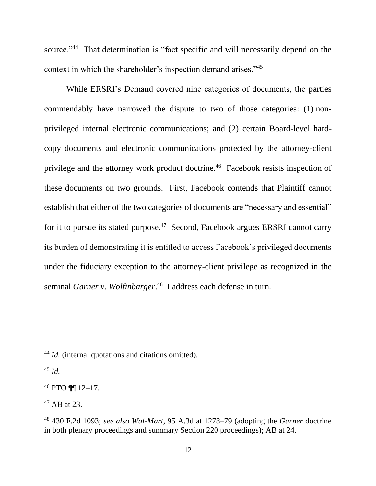source."<sup>44</sup> That determination is "fact specific and will necessarily depend on the context in which the shareholder's inspection demand arises."<sup>45</sup>

While ERSRI's Demand covered nine categories of documents, the parties commendably have narrowed the dispute to two of those categories: (1) nonprivileged internal electronic communications; and (2) certain Board-level hardcopy documents and electronic communications protected by the attorney-client privilege and the attorney work product doctrine.<sup>46</sup> Facebook resists inspection of these documents on two grounds. First, Facebook contends that Plaintiff cannot establish that either of the two categories of documents are "necessary and essential" for it to pursue its stated purpose.<sup>47</sup> Second, Facebook argues ERSRI cannot carry its burden of demonstrating it is entitled to access Facebook's privileged documents under the fiduciary exception to the attorney-client privilege as recognized in the seminal *Garner v. Wolfinbarger*. 48 I address each defense in turn.

<sup>45</sup> *Id.*

<sup>44</sup> *Id.* (internal quotations and citations omitted).

<sup>46</sup> PTO ¶¶ 12–17.

 $47$  AB at 23.

<sup>48</sup> 430 F.2d 1093; *see also Wal-Mart*, 95 A.3d at 1278–79 (adopting the *Garner* doctrine in both plenary proceedings and summary Section 220 proceedings); AB at 24.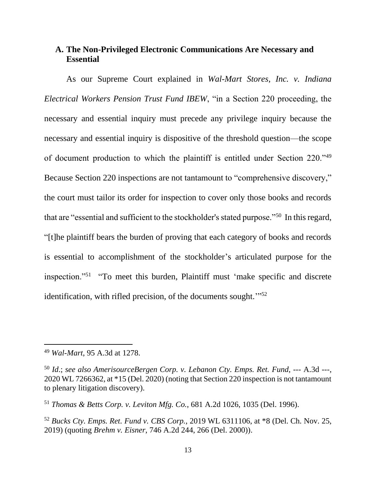## **A. The Non-Privileged Electronic Communications Are Necessary and Essential**

As our Supreme Court explained in *Wal-Mart Stores, Inc. v. Indiana Electrical Workers Pension Trust Fund IBEW*, "in a Section 220 proceeding, the necessary and essential inquiry must precede any privilege inquiry because the necessary and essential inquiry is dispositive of the threshold question—the scope of document production to which the plaintiff is entitled under Section 220."<sup>49</sup> Because Section 220 inspections are not tantamount to "comprehensive discovery," the court must tailor its order for inspection to cover only those books and records that are "essential and sufficient to the stockholder's stated purpose."<sup>50</sup> In this regard, "[t]he plaintiff bears the burden of proving that each category of books and records is essential to accomplishment of the stockholder's articulated purpose for the inspection."<sup>51</sup> "To meet this burden, Plaintiff must 'make specific and discrete identification, with rifled precision, of the documents sought."<sup>52</sup>

<sup>49</sup> *Wal-Mart*, 95 A.3d at 1278.

<sup>50</sup> *Id*.; *see also AmerisourceBergen Corp. v. Lebanon Cty. Emps. Ret. Fund*, --- A.3d ---, 2020 WL 7266362, at \*15 (Del. 2020) (noting that Section 220 inspection is not tantamount to plenary litigation discovery).

<sup>51</sup> *Thomas & Betts Corp. v. Leviton Mfg. Co.*, 681 A.2d 1026, 1035 (Del. 1996).

<sup>52</sup> *Bucks Cty. Emps. Ret. Fund v. CBS Corp.*, 2019 WL 6311106, at \*8 (Del. Ch. Nov. 25, 2019) (quoting *Brehm v. Eisner*, 746 A.2d 244, 266 (Del. 2000)).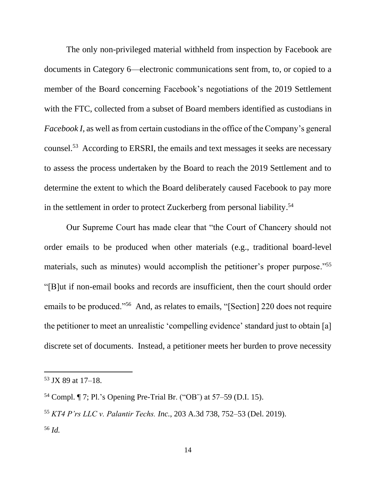The only non-privileged material withheld from inspection by Facebook are documents in Category 6—electronic communications sent from, to, or copied to a member of the Board concerning Facebook's negotiations of the 2019 Settlement with the FTC, collected from a subset of Board members identified as custodians in *Facebook I*, as well as from certain custodians in the office of the Company's general counsel.<sup>53</sup> According to ERSRI, the emails and text messages it seeks are necessary to assess the process undertaken by the Board to reach the 2019 Settlement and to determine the extent to which the Board deliberately caused Facebook to pay more in the settlement in order to protect Zuckerberg from personal liability. 54

Our Supreme Court has made clear that "the Court of Chancery should not order emails to be produced when other materials (e.g., traditional board-level materials, such as minutes) would accomplish the petitioner's proper purpose."<sup>55</sup> "[B]ut if non-email books and records are insufficient, then the court should order emails to be produced."<sup>56</sup> And, as relates to emails, "[Section] 220 does not require the petitioner to meet an unrealistic 'compelling evidence' standard just to obtain [a] discrete set of documents. Instead, a petitioner meets her burden to prove necessity

 $53$  JX 89 at 17–18.

<sup>54</sup> Compl. ¶ 7; Pl.'s Opening Pre-Trial Br. ("OB¨) at 57–59 (D.I. 15).

<sup>55</sup> *KT4 P'rs LLC v. Palantir Techs. Inc.*, 203 A.3d 738, 752–53 (Del. 2019). <sup>56</sup> *Id.*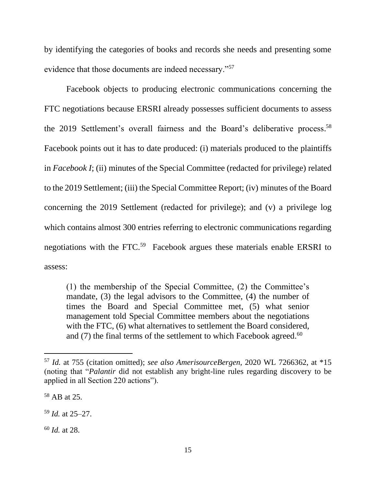by identifying the categories of books and records she needs and presenting some evidence that those documents are indeed necessary."<sup>57</sup>

Facebook objects to producing electronic communications concerning the FTC negotiations because ERSRI already possesses sufficient documents to assess the 2019 Settlement's overall fairness and the Board's deliberative process. 58 Facebook points out it has to date produced: (i) materials produced to the plaintiffs in *Facebook I*; (ii) minutes of the Special Committee (redacted for privilege) related to the 2019 Settlement; (iii) the Special Committee Report; (iv) minutes of the Board concerning the 2019 Settlement (redacted for privilege); and (v) a privilege log which contains almost 300 entries referring to electronic communications regarding negotiations with the FTC.<sup>59</sup> Facebook argues these materials enable ERSRI to assess:

(1) the membership of the Special Committee, (2) the Committee's mandate, (3) the legal advisors to the Committee, (4) the number of times the Board and Special Committee met, (5) what senior management told Special Committee members about the negotiations with the FTC, (6) what alternatives to settlement the Board considered, and (7) the final terms of the settlement to which Facebook agreed.<sup>60</sup>

<sup>60</sup> *Id.* at 28.

<sup>57</sup> *Id.* at 755 (citation omitted); *see also AmerisourceBergen,* 2020 WL 7266362, at \*15 (noting that "*Palantir* did not establish any bright-line rules regarding discovery to be applied in all Section 220 actions").

<sup>58</sup> AB at 25.

<sup>59</sup> *Id.* at 25–27.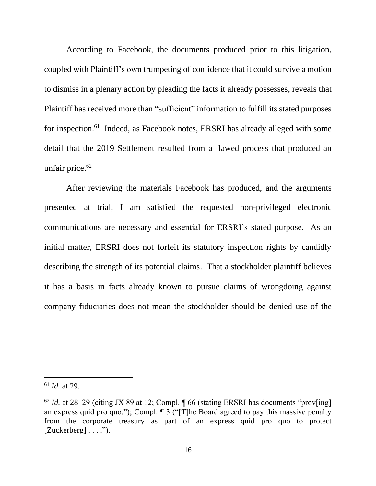According to Facebook, the documents produced prior to this litigation, coupled with Plaintiff's own trumpeting of confidence that it could survive a motion to dismiss in a plenary action by pleading the facts it already possesses, reveals that Plaintiff has received more than "sufficient" information to fulfill its stated purposes for inspection.<sup>61</sup> Indeed, as Facebook notes, ERSRI has already alleged with some detail that the 2019 Settlement resulted from a flawed process that produced an unfair price. 62

After reviewing the materials Facebook has produced, and the arguments presented at trial, I am satisfied the requested non-privileged electronic communications are necessary and essential for ERSRI's stated purpose. As an initial matter, ERSRI does not forfeit its statutory inspection rights by candidly describing the strength of its potential claims. That a stockholder plaintiff believes it has a basis in facts already known to pursue claims of wrongdoing against company fiduciaries does not mean the stockholder should be denied use of the

<sup>61</sup> *Id.* at 29.

 $62$  *Id.* at 28–29 (citing JX 89 at 12; Compl.  $\sqrt{ }$  66 (stating ERSRI has documents "prov[ing] an express quid pro quo."); Compl.  $\parallel$  3 ("[T]he Board agreed to pay this massive penalty from the corporate treasury as part of an express quid pro quo to protect  $[Zuckerberg] \ldots$ ").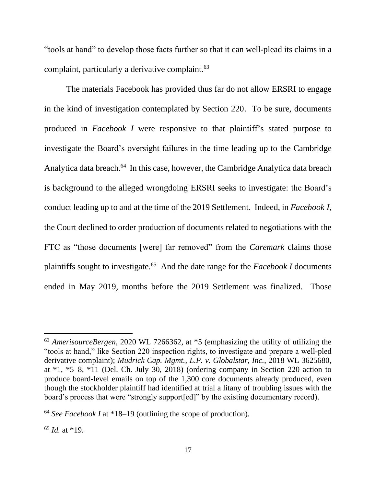"tools at hand" to develop those facts further so that it can well-plead its claims in a complaint, particularly a derivative complaint.<sup>63</sup>

The materials Facebook has provided thus far do not allow ERSRI to engage in the kind of investigation contemplated by Section 220. To be sure, documents produced in *Facebook I* were responsive to that plaintiff's stated purpose to investigate the Board's oversight failures in the time leading up to the Cambridge Analytica data breach.<sup>64</sup> In this case, however, the Cambridge Analytica data breach is background to the alleged wrongdoing ERSRI seeks to investigate: the Board's conduct leading up to and at the time of the 2019 Settlement. Indeed, in *Facebook I*, the Court declined to order production of documents related to negotiations with the FTC as "those documents [were] far removed" from the *Caremark* claims those plaintiffs sought to investigate.<sup>65</sup> And the date range for the *Facebook I* documents ended in May 2019, months before the 2019 Settlement was finalized. Those

<sup>63</sup> *AmerisourceBergen*, 2020 WL 7266362, at \*5 (emphasizing the utility of utilizing the "tools at hand," like Section 220 inspection rights, to investigate and prepare a well-pled derivative complaint); *Mudrick Cap. Mgmt., L.P. v. Globalstar, Inc.*, 2018 WL 3625680, at \*1, \*5–8, \*11 (Del. Ch. July 30, 2018) (ordering company in Section 220 action to produce board-level emails on top of the 1,300 core documents already produced, even though the stockholder plaintiff had identified at trial a litany of troubling issues with the board's process that were "strongly support[ed]" by the existing documentary record).

<sup>64</sup> *See Facebook I* at \*18–19 (outlining the scope of production).

<sup>65</sup> *Id.* at \*19.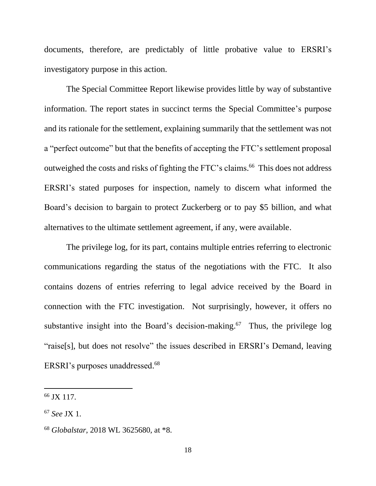documents, therefore, are predictably of little probative value to ERSRI's investigatory purpose in this action.

The Special Committee Report likewise provides little by way of substantive information. The report states in succinct terms the Special Committee's purpose and its rationale for the settlement, explaining summarily that the settlement was not a "perfect outcome" but that the benefits of accepting the FTC's settlement proposal outweighed the costs and risks of fighting the FTC's claims. <sup>66</sup> This does not address ERSRI's stated purposes for inspection, namely to discern what informed the Board's decision to bargain to protect Zuckerberg or to pay \$5 billion, and what alternatives to the ultimate settlement agreement, if any, were available.

The privilege log, for its part, contains multiple entries referring to electronic communications regarding the status of the negotiations with the FTC. It also contains dozens of entries referring to legal advice received by the Board in connection with the FTC investigation. Not surprisingly, however, it offers no substantive insight into the Board's decision-making.<sup>67</sup> Thus, the privilege log "raise[s], but does not resolve" the issues described in ERSRI's Demand, leaving ERSRI's purposes unaddressed. 68

<sup>66</sup> JX 117.

<sup>67</sup> *See* JX 1.

<sup>68</sup> *Globalstar*, 2018 WL 3625680, at \*8.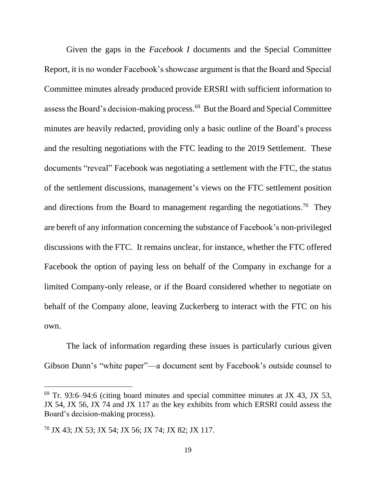Given the gaps in the *Facebook I* documents and the Special Committee Report, it is no wonder Facebook's showcase argument is that the Board and Special Committee minutes already produced provide ERSRI with sufficient information to assess the Board's decision-making process. 69 But the Board and Special Committee minutes are heavily redacted, providing only a basic outline of the Board's process and the resulting negotiations with the FTC leading to the 2019 Settlement. These documents "reveal" Facebook was negotiating a settlement with the FTC, the status of the settlement discussions, management's views on the FTC settlement position and directions from the Board to management regarding the negotiations.<sup>70</sup> They are bereft of any information concerning the substance of Facebook's non-privileged discussions with the FTC. It remains unclear, for instance, whether the FTC offered Facebook the option of paying less on behalf of the Company in exchange for a limited Company-only release, or if the Board considered whether to negotiate on behalf of the Company alone, leaving Zuckerberg to interact with the FTC on his own.

The lack of information regarding these issues is particularly curious given Gibson Dunn's "white paper"—a document sent by Facebook's outside counsel to

 $69$  Tr. 93:6–94:6 (citing board minutes and special committee minutes at JX 43, JX 53, JX 54, JX 56, JX 74 and JX 117 as the key exhibits from which ERSRI could assess the Board's decision-making process).

<sup>70</sup> JX 43; JX 53; JX 54; JX 56; JX 74; JX 82; JX 117.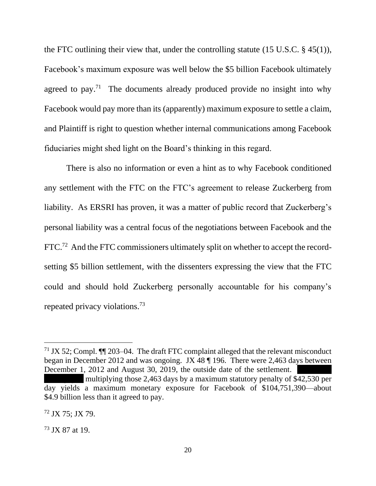the FTC outlining their view that, under the controlling statute (15 U.S.C. § 45(1)), Facebook's maximum exposure was well below the \$5 billion Facebook ultimately agreed to pay.<sup>71</sup> The documents already produced provide no insight into why Facebook would pay more than its (apparently) maximum exposure to settle a claim, and Plaintiff is right to question whether internal communications among Facebook fiduciaries might shed light on the Board's thinking in this regard.

There is also no information or even a hint as to why Facebook conditioned any settlement with the FTC on the FTC's agreement to release Zuckerberg from liability. As ERSRI has proven, it was a matter of public record that Zuckerberg's personal liability was a central focus of the negotiations between Facebook and the  $FTC<sup>72</sup>$  And the FTC commissioners ultimately split on whether to accept the recordsetting \$5 billion settlement, with the dissenters expressing the view that the FTC could and should hold Zuckerberg personally accountable for his company's repeated privacy violations.<sup>73</sup>

<sup>&</sup>lt;sup>71</sup> JX 52; Compl.  $\P\P$  203–04. The draft FTC complaint alleged that the relevant misconduct began in December 2012 and was ongoing. JX 48 ¶ 196. There were 2,463 days between December 1, 2012 and August 30, 2019, the outside date of the settlement.

multiplying those 2,463 days by a maximum statutory penalty of \$42,530 per day yields a maximum monetary exposure for Facebook of \$104,751,390—about \$4.9 billion less than it agreed to pay.

<sup>72</sup> JX 75; JX 79.

<sup>73</sup> JX 87 at 19.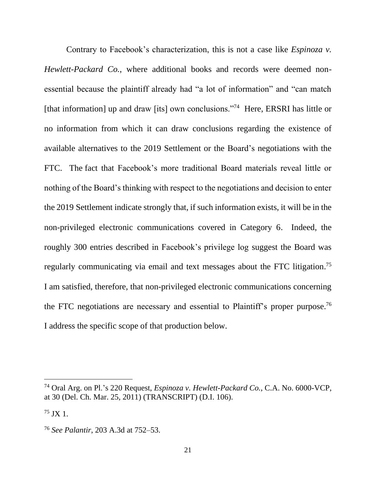Contrary to Facebook's characterization, this is not a case like *Espinoza v. Hewlett-Packard Co.*, where additional books and records were deemed nonessential because the plaintiff already had "a lot of information" and "can match [that information] up and draw [its] own conclusions."<sup>74</sup> Here, ERSRI has little or no information from which it can draw conclusions regarding the existence of available alternatives to the 2019 Settlement or the Board's negotiations with the FTC.The fact that Facebook's more traditional Board materials reveal little or nothing of the Board's thinking with respect to the negotiations and decision to enter the 2019 Settlement indicate strongly that, if such information exists, it will be in the non-privileged electronic communications covered in Category 6. Indeed, the roughly 300 entries described in Facebook's privilege log suggest the Board was regularly communicating via email and text messages about the FTC litigation.<sup>75</sup> I am satisfied, therefore, that non-privileged electronic communications concerning the FTC negotiations are necessary and essential to Plaintiff's proper purpose.<sup>76</sup> I address the specific scope of that production below.

<sup>74</sup> Oral Arg. on Pl.'s 220 Request, *Espinoza v. Hewlett-Packard Co.*, C.A. No. 6000-VCP, at 30 (Del. Ch. Mar. 25, 2011) (TRANSCRIPT) (D.I. 106).

 $^{75}$  JX 1.

<sup>76</sup> *See Palantir*, 203 A.3d at 752–53.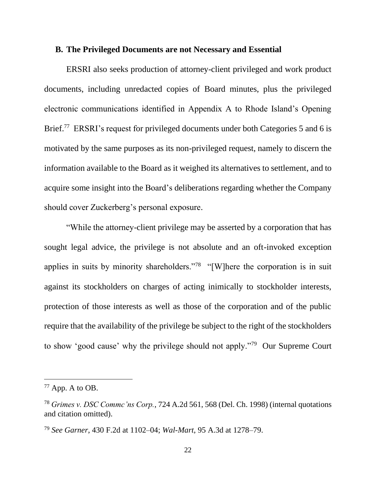### **B. The Privileged Documents are not Necessary and Essential**

ERSRI also seeks production of attorney-client privileged and work product documents, including unredacted copies of Board minutes, plus the privileged electronic communications identified in Appendix A to Rhode Island's Opening Brief.<sup>77</sup> ERSRI's request for privileged documents under both Categories 5 and 6 is motivated by the same purposes as its non-privileged request, namely to discern the information available to the Board as it weighed its alternatives to settlement, and to acquire some insight into the Board's deliberations regarding whether the Company should cover Zuckerberg's personal exposure.

"While the attorney-client privilege may be asserted by a corporation that has sought legal advice, the privilege is not absolute and an oft-invoked exception applies in suits by minority shareholders."<sup>78</sup> "[W]here the corporation is in suit against its stockholders on charges of acting inimically to stockholder interests, protection of those interests as well as those of the corporation and of the public require that the availability of the privilege be subject to the right of the stockholders to show 'good cause' why the privilege should not apply."<sup>79</sup> Our Supreme Court

 $77$  App. A to OB.

<sup>78</sup> *Grimes v. DSC Commc'ns Corp.*, 724 A.2d 561, 568 (Del. Ch. 1998) (internal quotations and citation omitted).

<sup>79</sup> *See Garner*, 430 F.2d at 1102–04; *Wal-Mart*, 95 A.3d at 1278–79.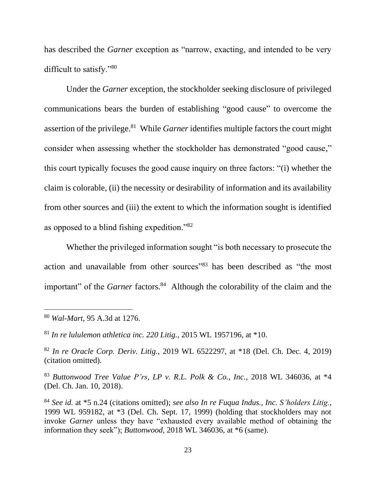has described the *Garner* exception as "narrow, exacting, and intended to be very difficult to satisfy."80

Under the *Garner* exception, the stockholder seeking disclosure of privileged communications bears the burden of establishing "good cause" to overcome the assertion of the privilege.<sup>81</sup> While *Garner* identifies multiple factors the court might consider when assessing whether the stockholder has demonstrated "good cause," this court typically focuses the good cause inquiry on three factors: "(i) whether the claim is colorable, (ii) the necessity or desirability of information and its availability from other sources and (iii) the extent to which the information sought is identified as opposed to a blind fishing expedition."<sup>82</sup>

Whether the privileged information sought "is both necessary to prosecute the action and unavailable from other sources<sup>"83</sup> has been described as "the most important" of the *Garner* factors.<sup>84</sup> Although the colorability of the claim and the

<sup>83</sup> *Buttonwood Tree Value P'rs, LP v. R.L. Polk & Co., Inc.*, 2018 WL 346036, at \*4 (Del. Ch. Jan. 10, 2018).

<sup>80</sup> *Wal-Mart*, 95 A.3d at 1276.

<sup>81</sup> *In re lululemon athletica inc. 220 Litig.*, 2015 WL 1957196, at \*10.

<sup>82</sup> *In re Oracle Corp. Deriv. Litig.*, 2019 WL 6522297, at \*18 (Del. Ch. Dec. 4, 2019) (citation omitted).

<sup>84</sup> *See id.* at \*5 n.24 (citations omitted); *see also In re Fuqua Indus., Inc. S'holders Litig.*, 1999 WL 959182, at \*3 (Del. Ch. Sept. 17, 1999) (holding that stockholders may not invoke *Garner* unless they have "exhausted every available method of obtaining the information they seek"); *Buttonwood*, 2018 WL 346036, at \*6 (same).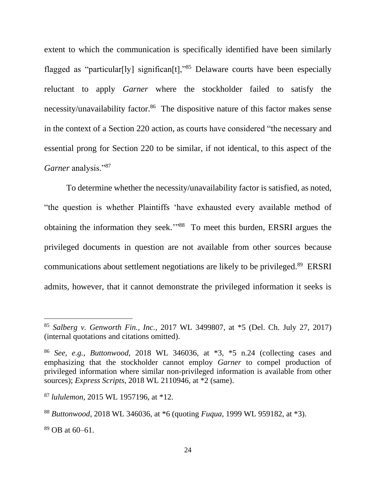extent to which the communication is specifically identified have been similarly flagged as "particular<sup>[1</sup>y] significan<sup>[1]</sup>,<sup>185</sup> Delaware courts have been especially reluctant to apply *Garner* where the stockholder failed to satisfy the necessity/unavailability factor.<sup>86</sup> The dispositive nature of this factor makes sense in the context of a Section 220 action, as courts have considered "the necessary and essential prong for Section 220 to be similar, if not identical, to this aspect of the *Garner* analysis."<sup>87</sup>

To determine whether the necessity/unavailability factor is satisfied, as noted, "the question is whether Plaintiffs 'have exhausted every available method of obtaining the information they seek."<sup>88</sup> To meet this burden, ERSRI argues the privileged documents in question are not available from other sources because communications about settlement negotiations are likely to be privileged.<sup>89</sup> ERSRI admits, however, that it cannot demonstrate the privileged information it seeks is

 $89$  OB at 60–61.

<sup>85</sup> *Salberg v. Genworth Fin., Inc.*, 2017 WL 3499807, at \*5 (Del. Ch. July 27, 2017) (internal quotations and citations omitted).

<sup>86</sup> *See, e.g.*, *Buttonwood*, 2018 WL 346036, at \*3, \*5 n.24 (collecting cases and emphasizing that the stockholder cannot employ *Garner* to compel production of privileged information where similar non-privileged information is available from other sources); *Express Scripts*, 2018 WL 2110946, at \*2 (same).

<sup>87</sup> *lululemon*, 2015 WL 1957196, at \*12.

<sup>88</sup> *Buttonwood*, 2018 WL 346036, at \*6 (quoting *Fuqua*, 1999 WL 959182, at \*3).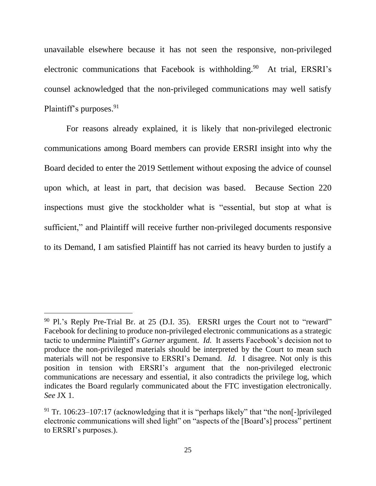unavailable elsewhere because it has not seen the responsive, non-privileged electronic communications that Facebook is withholding.<sup>90</sup> At trial, ERSRI's counsel acknowledged that the non-privileged communications may well satisfy Plaintiff's purposes.<sup>91</sup>

For reasons already explained, it is likely that non-privileged electronic communications among Board members can provide ERSRI insight into why the Board decided to enter the 2019 Settlement without exposing the advice of counsel upon which, at least in part, that decision was based. Because Section 220 inspections must give the stockholder what is "essential, but stop at what is sufficient," and Plaintiff will receive further non-privileged documents responsive to its Demand, I am satisfied Plaintiff has not carried its heavy burden to justify a

 $90$  Pl.'s Reply Pre-Trial Br. at 25 (D.I. 35). ERSRI urges the Court not to "reward" Facebook for declining to produce non-privileged electronic communications as a strategic tactic to undermine Plaintiff's *Garner* argument. *Id.* It asserts Facebook's decision not to produce the non-privileged materials should be interpreted by the Court to mean such materials will not be responsive to ERSRI's Demand. *Id.* I disagree. Not only is this position in tension with ERSRI's argument that the non-privileged electronic communications are necessary and essential, it also contradicts the privilege log, which indicates the Board regularly communicated about the FTC investigation electronically. *See* JX 1.

 $91$  Tr. 106:23–107:17 (acknowledging that it is "perhaps likely" that "the non[-]privileged electronic communications will shed light" on "aspects of the [Board's] process" pertinent to ERSRI's purposes.).